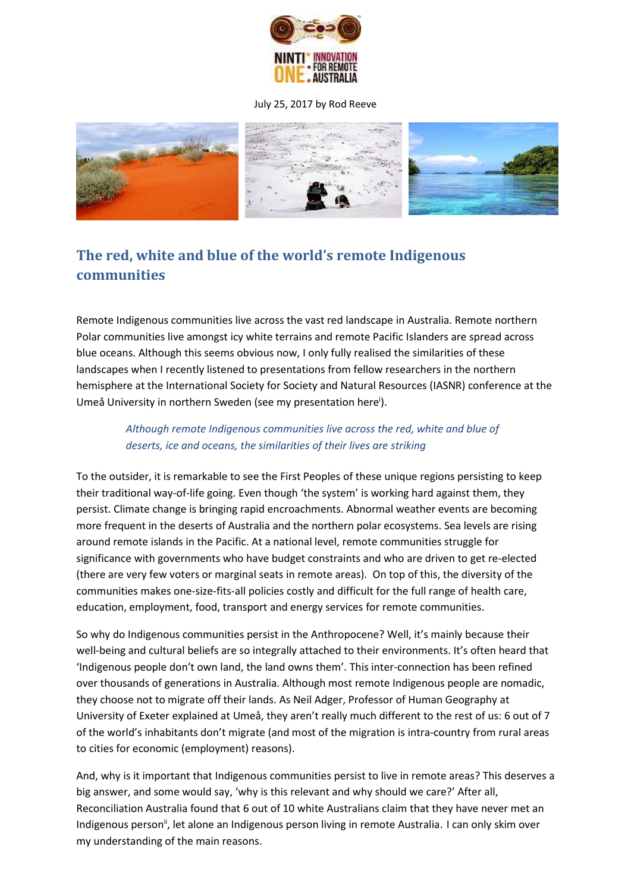

## July 25, 2017 by Rod [Reeve](http://devpolicy.org/author/rod-reeve/)



## **The red, white and blue of the world's remote Indigenous communities**

Remote Indigenous communities live across the vast red landscape in Australia. Remote northern Polar communities live amongst icy white terrains and remote Pacific Islanders are spread across blue oceans. Although this seems obvious now, I only fully realised the similarities of these landscapes when I recently listened to presentations from fellow researchers in the northern hemisphere at the International Society for Society and Natural Resources (IASNR) conference at the Umeå University in northern Sweden (see my presentation here<sup>i</sup>).

## *Although remote Indigenous communities live across the red, white and blue of deserts, ice and oceans, the similarities of their lives are striking*

To the outsider, it is remarkable to see the First Peoples of these unique regions persisting to keep their traditional way-of-life going. Even though 'the system' is working hard against them, they persist. Climate change is bringing rapid encroachments. Abnormal weather events are becoming more frequent in the deserts of Australia and the northern polar ecosystems. Sea levels are rising around remote islands in the Pacific. At a national level, remote communities struggle for significance with governments who have budget constraints and who are driven to get re-elected (there are very few voters or marginal seats in remote areas). On top of this, the diversity of the communities makes one-size-fits-all policies costly and difficult for the full range of health care, education, employment, food, transport and energy services for remote communities.

So why do Indigenous communities persist in the Anthropocene? Well, it's mainly because their well-being and cultural beliefs are so integrally attached to their environments. It's often heard that 'Indigenous people don't own land, the land owns them'. This inter-connection has been refined over thousands of generations in Australia. Although most remote Indigenous people are nomadic, they choose not to migrate off their lands. As Neil Adger, Professor of Human Geography at University of Exeter explained at Umeå, they aren't really much different to the rest of us: 6 out of 7 of the world's inhabitants don't migrate (and most of the migration is intra-country from rural areas to cities for economic (employment) reasons).

And, why is it important that Indigenous communities persist to live in remote areas? This deserves a big answer, and some would say, 'why is this relevant and why should we care?' After all, Reconciliation Australia found that 6 out of 10 white Australians claim that they have never met an Indigenous person<sup>ii</sup>, let alone an Indigenous person living in remote Australia. I can only skim over my understanding of the main reasons.